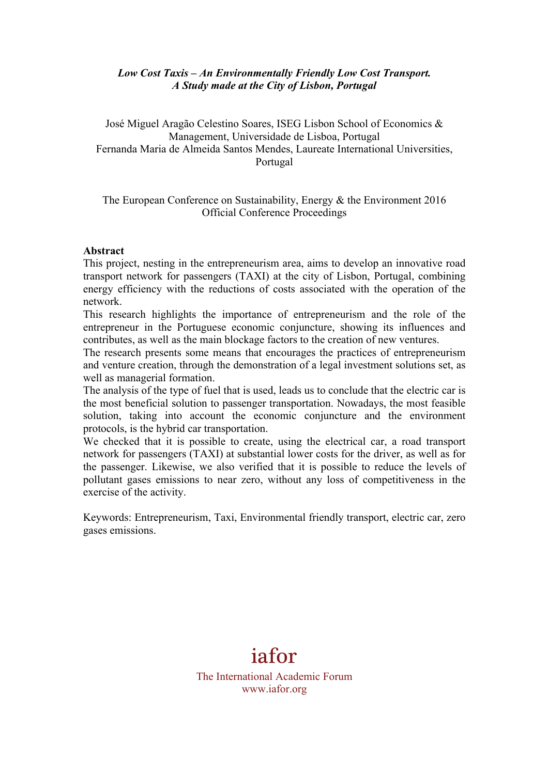## *Low Cost Taxis – An Environmentally Friendly Low Cost Transport. A Study made at the City of Lisbon, Portugal*

José Miguel Aragão Celestino Soares, ISEG Lisbon School of Economics & Management, Universidade de Lisboa, Portugal Fernanda Maria de Almeida Santos Mendes, Laureate International Universities, Portugal

### The European Conference on Sustainability, Energy & the Environment 2016 Official Conference Proceedings

#### **Abstract**

This project, nesting in the entrepreneurism area, aims to develop an innovative road transport network for passengers (TAXI) at the city of Lisbon, Portugal, combining energy efficiency with the reductions of costs associated with the operation of the network.

This research highlights the importance of entrepreneurism and the role of the entrepreneur in the Portuguese economic conjuncture, showing its influences and contributes, as well as the main blockage factors to the creation of new ventures.

The research presents some means that encourages the practices of entrepreneurism and venture creation, through the demonstration of a legal investment solutions set, as well as managerial formation.

The analysis of the type of fuel that is used, leads us to conclude that the electric car is the most beneficial solution to passenger transportation. Nowadays, the most feasible solution, taking into account the economic conjuncture and the environment protocols, is the hybrid car transportation.

We checked that it is possible to create, using the electrical car, a road transport network for passengers (TAXI) at substantial lower costs for the driver, as well as for the passenger. Likewise, we also verified that it is possible to reduce the levels of pollutant gases emissions to near zero, without any loss of competitiveness in the exercise of the activity.

Keywords: Entrepreneurism, Taxi, Environmental friendly transport, electric car, zero gases emissions.



www.iafor.org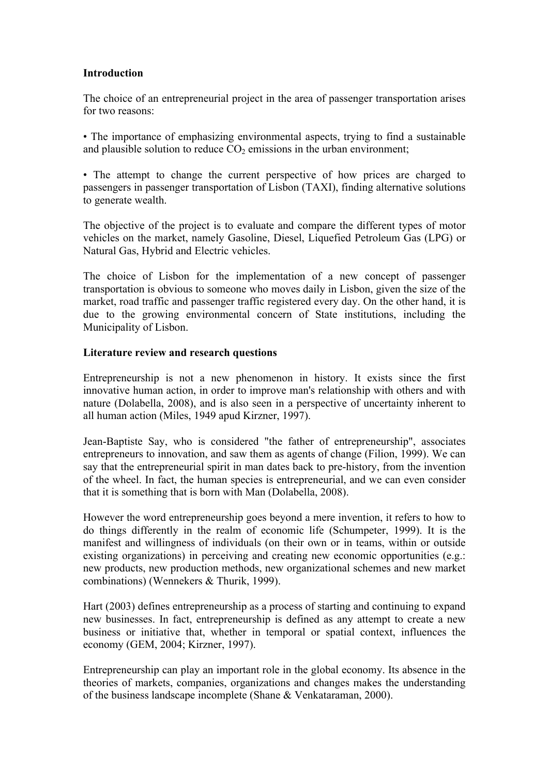## **Introduction**

The choice of an entrepreneurial project in the area of passenger transportation arises for two reasons:

• The importance of emphasizing environmental aspects, trying to find a sustainable and plausible solution to reduce  $CO<sub>2</sub>$  emissions in the urban environment;

• The attempt to change the current perspective of how prices are charged to passengers in passenger transportation of Lisbon (TAXI), finding alternative solutions to generate wealth.

The objective of the project is to evaluate and compare the different types of motor vehicles on the market, namely Gasoline, Diesel, Liquefied Petroleum Gas (LPG) or Natural Gas, Hybrid and Electric vehicles.

The choice of Lisbon for the implementation of a new concept of passenger transportation is obvious to someone who moves daily in Lisbon, given the size of the market, road traffic and passenger traffic registered every day. On the other hand, it is due to the growing environmental concern of State institutions, including the Municipality of Lisbon.

## **Literature review and research questions**

Entrepreneurship is not a new phenomenon in history. It exists since the first innovative human action, in order to improve man's relationship with others and with nature (Dolabella, 2008), and is also seen in a perspective of uncertainty inherent to all human action (Miles, 1949 apud Kirzner, 1997).

Jean-Baptiste Say, who is considered "the father of entrepreneurship", associates entrepreneurs to innovation, and saw them as agents of change (Filion, 1999). We can say that the entrepreneurial spirit in man dates back to pre-history, from the invention of the wheel. In fact, the human species is entrepreneurial, and we can even consider that it is something that is born with Man (Dolabella, 2008).

However the word entrepreneurship goes beyond a mere invention, it refers to how to do things differently in the realm of economic life (Schumpeter, 1999). It is the manifest and willingness of individuals (on their own or in teams, within or outside existing organizations) in perceiving and creating new economic opportunities (e.g.: new products, new production methods, new organizational schemes and new market combinations) (Wennekers & Thurik, 1999).

Hart (2003) defines entrepreneurship as a process of starting and continuing to expand new businesses. In fact, entrepreneurship is defined as any attempt to create a new business or initiative that, whether in temporal or spatial context, influences the economy (GEM, 2004; Kirzner, 1997).

Entrepreneurship can play an important role in the global economy. Its absence in the theories of markets, companies, organizations and changes makes the understanding of the business landscape incomplete (Shane & Venkataraman, 2000).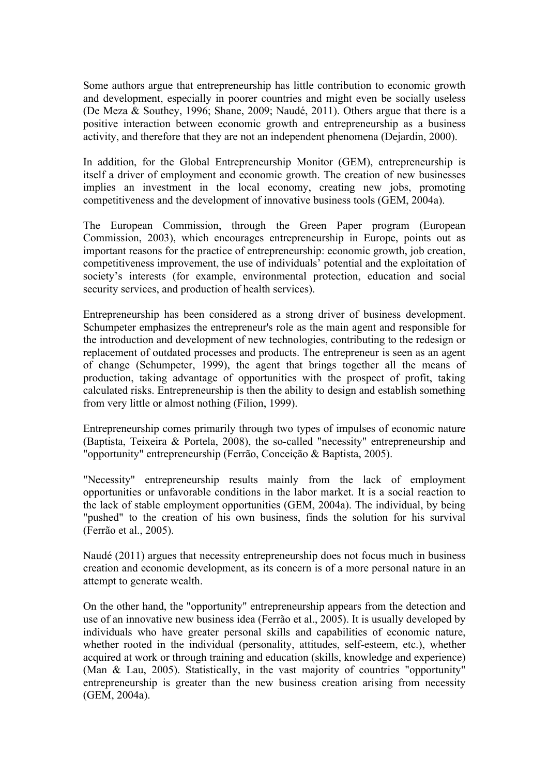Some authors argue that entrepreneurship has little contribution to economic growth and development, especially in poorer countries and might even be socially useless (De Meza & Southey, 1996; Shane, 2009; Naudé, 2011). Others argue that there is a positive interaction between economic growth and entrepreneurship as a business activity, and therefore that they are not an independent phenomena (Dejardin, 2000).

In addition, for the Global Entrepreneurship Monitor (GEM), entrepreneurship is itself a driver of employment and economic growth. The creation of new businesses implies an investment in the local economy, creating new jobs, promoting competitiveness and the development of innovative business tools (GEM, 2004a).

The European Commission, through the Green Paper program (European Commission, 2003), which encourages entrepreneurship in Europe, points out as important reasons for the practice of entrepreneurship: economic growth, job creation, competitiveness improvement, the use of individuals' potential and the exploitation of society's interests (for example, environmental protection, education and social security services, and production of health services).

Entrepreneurship has been considered as a strong driver of business development. Schumpeter emphasizes the entrepreneur's role as the main agent and responsible for the introduction and development of new technologies, contributing to the redesign or replacement of outdated processes and products. The entrepreneur is seen as an agent of change (Schumpeter, 1999), the agent that brings together all the means of production, taking advantage of opportunities with the prospect of profit, taking calculated risks. Entrepreneurship is then the ability to design and establish something from very little or almost nothing (Filion, 1999).

Entrepreneurship comes primarily through two types of impulses of economic nature (Baptista, Teixeira & Portela, 2008), the so-called "necessity" entrepreneurship and "opportunity" entrepreneurship (Ferrão, Conceição & Baptista, 2005).

"Necessity" entrepreneurship results mainly from the lack of employment opportunities or unfavorable conditions in the labor market. It is a social reaction to the lack of stable employment opportunities (GEM, 2004a). The individual, by being "pushed" to the creation of his own business, finds the solution for his survival (Ferrão et al., 2005).

Naudé (2011) argues that necessity entrepreneurship does not focus much in business creation and economic development, as its concern is of a more personal nature in an attempt to generate wealth.

On the other hand, the "opportunity" entrepreneurship appears from the detection and use of an innovative new business idea (Ferrão et al., 2005). It is usually developed by individuals who have greater personal skills and capabilities of economic nature, whether rooted in the individual (personality, attitudes, self-esteem, etc.), whether acquired at work or through training and education (skills, knowledge and experience) (Man & Lau, 2005). Statistically, in the vast majority of countries "opportunity" entrepreneurship is greater than the new business creation arising from necessity (GEM, 2004a).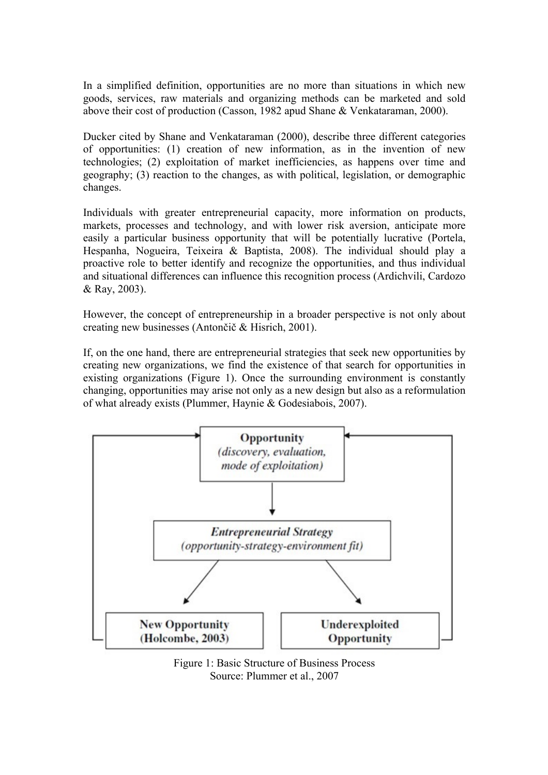In a simplified definition, opportunities are no more than situations in which new goods, services, raw materials and organizing methods can be marketed and sold above their cost of production (Casson, 1982 apud Shane & Venkataraman, 2000).

Ducker cited by Shane and Venkataraman (2000), describe three different categories of opportunities: (1) creation of new information, as in the invention of new technologies; (2) exploitation of market inefficiencies, as happens over time and geography; (3) reaction to the changes, as with political, legislation, or demographic changes.

Individuals with greater entrepreneurial capacity, more information on products, markets, processes and technology, and with lower risk aversion, anticipate more easily a particular business opportunity that will be potentially lucrative (Portela, Hespanha, Nogueira, Teixeira & Baptista, 2008). The individual should play a proactive role to better identify and recognize the opportunities, and thus individual and situational differences can influence this recognition process (Ardichvili, Cardozo & Ray, 2003).

However, the concept of entrepreneurship in a broader perspective is not only about creating new businesses (Antončič & Hisrich, 2001).

If, on the one hand, there are entrepreneurial strategies that seek new opportunities by creating new organizations, we find the existence of that search for opportunities in existing organizations (Figure 1). Once the surrounding environment is constantly changing, opportunities may arise not only as a new design but also as a reformulation of what already exists (Plummer, Haynie & Godesiabois, 2007).



Figure 1: Basic Structure of Business Process Source: Plummer et al., 2007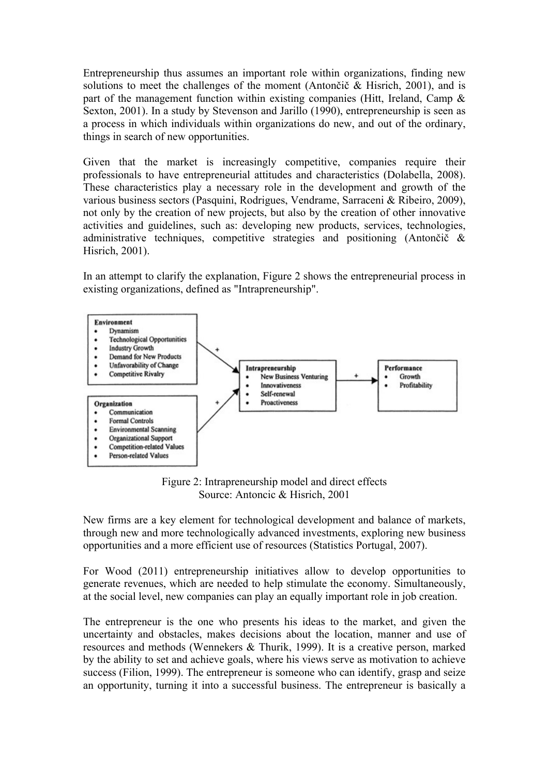Entrepreneurship thus assumes an important role within organizations, finding new solutions to meet the challenges of the moment (Antončič & Hisrich, 2001), and is part of the management function within existing companies (Hitt, Ireland, Camp  $\&$ Sexton, 2001). In a study by Stevenson and Jarillo (1990), entrepreneurship is seen as a process in which individuals within organizations do new, and out of the ordinary, things in search of new opportunities.

Given that the market is increasingly competitive, companies require their professionals to have entrepreneurial attitudes and characteristics (Dolabella, 2008). These characteristics play a necessary role in the development and growth of the various business sectors (Pasquini, Rodrigues, Vendrame, Sarraceni & Ribeiro, 2009), not only by the creation of new projects, but also by the creation of other innovative activities and guidelines, such as: developing new products, services, technologies, administrative techniques, competitive strategies and positioning (Antončič & Hisrich, 2001).

In an attempt to clarify the explanation, Figure 2 shows the entrepreneurial process in existing organizations, defined as "Intrapreneurship".



Figure 2: Intrapreneurship model and direct effects Source: Antoncic & Hisrich, 2001

New firms are a key element for technological development and balance of markets, through new and more technologically advanced investments, exploring new business opportunities and a more efficient use of resources (Statistics Portugal, 2007).

For Wood (2011) entrepreneurship initiatives allow to develop opportunities to generate revenues, which are needed to help stimulate the economy. Simultaneously, at the social level, new companies can play an equally important role in job creation.

The entrepreneur is the one who presents his ideas to the market, and given the uncertainty and obstacles, makes decisions about the location, manner and use of resources and methods (Wennekers & Thurik, 1999). It is a creative person, marked by the ability to set and achieve goals, where his views serve as motivation to achieve success (Filion, 1999). The entrepreneur is someone who can identify, grasp and seize an opportunity, turning it into a successful business. The entrepreneur is basically a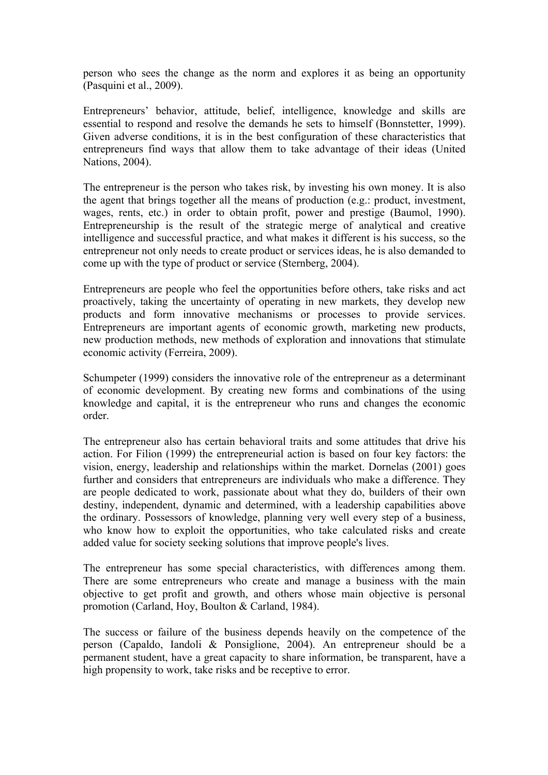person who sees the change as the norm and explores it as being an opportunity (Pasquini et al., 2009).

Entrepreneurs' behavior, attitude, belief, intelligence, knowledge and skills are essential to respond and resolve the demands he sets to himself (Bonnstetter, 1999). Given adverse conditions, it is in the best configuration of these characteristics that entrepreneurs find ways that allow them to take advantage of their ideas (United Nations, 2004).

The entrepreneur is the person who takes risk, by investing his own money. It is also the agent that brings together all the means of production (e.g.: product, investment, wages, rents, etc.) in order to obtain profit, power and prestige (Baumol, 1990). Entrepreneurship is the result of the strategic merge of analytical and creative intelligence and successful practice, and what makes it different is his success, so the entrepreneur not only needs to create product or services ideas, he is also demanded to come up with the type of product or service (Sternberg, 2004).

Entrepreneurs are people who feel the opportunities before others, take risks and act proactively, taking the uncertainty of operating in new markets, they develop new products and form innovative mechanisms or processes to provide services. Entrepreneurs are important agents of economic growth, marketing new products, new production methods, new methods of exploration and innovations that stimulate economic activity (Ferreira, 2009).

Schumpeter (1999) considers the innovative role of the entrepreneur as a determinant of economic development. By creating new forms and combinations of the using knowledge and capital, it is the entrepreneur who runs and changes the economic order.

The entrepreneur also has certain behavioral traits and some attitudes that drive his action. For Filion (1999) the entrepreneurial action is based on four key factors: the vision, energy, leadership and relationships within the market. Dornelas (2001) goes further and considers that entrepreneurs are individuals who make a difference. They are people dedicated to work, passionate about what they do, builders of their own destiny, independent, dynamic and determined, with a leadership capabilities above the ordinary. Possessors of knowledge, planning very well every step of a business, who know how to exploit the opportunities, who take calculated risks and create added value for society seeking solutions that improve people's lives.

The entrepreneur has some special characteristics, with differences among them. There are some entrepreneurs who create and manage a business with the main objective to get profit and growth, and others whose main objective is personal promotion (Carland, Hoy, Boulton & Carland, 1984).

The success or failure of the business depends heavily on the competence of the person (Capaldo, Iandoli & Ponsiglione, 2004). An entrepreneur should be a permanent student, have a great capacity to share information, be transparent, have a high propensity to work, take risks and be receptive to error.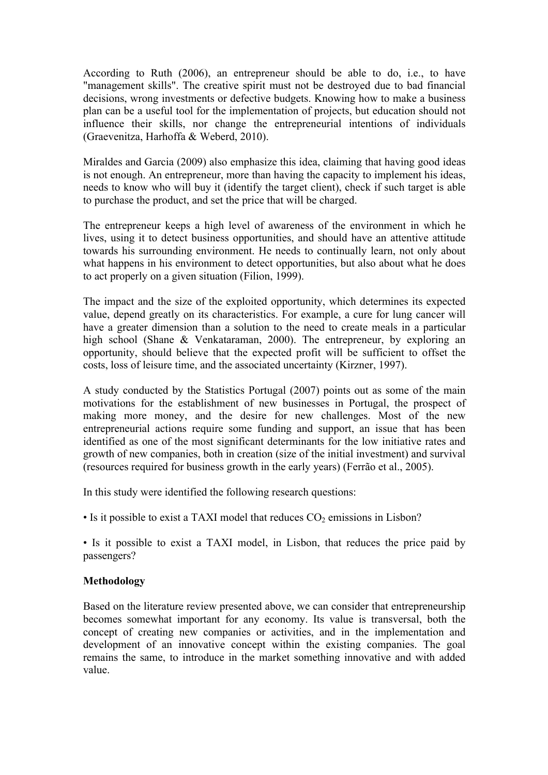According to Ruth (2006), an entrepreneur should be able to do, i.e., to have "management skills". The creative spirit must not be destroyed due to bad financial decisions, wrong investments or defective budgets. Knowing how to make a business plan can be a useful tool for the implementation of projects, but education should not influence their skills, nor change the entrepreneurial intentions of individuals (Graevenitza, Harhoffa & Weberd, 2010).

Miraldes and Garcia (2009) also emphasize this idea, claiming that having good ideas is not enough. An entrepreneur, more than having the capacity to implement his ideas, needs to know who will buy it (identify the target client), check if such target is able to purchase the product, and set the price that will be charged.

The entrepreneur keeps a high level of awareness of the environment in which he lives, using it to detect business opportunities, and should have an attentive attitude towards his surrounding environment. He needs to continually learn, not only about what happens in his environment to detect opportunities, but also about what he does to act properly on a given situation (Filion, 1999).

The impact and the size of the exploited opportunity, which determines its expected value, depend greatly on its characteristics. For example, a cure for lung cancer will have a greater dimension than a solution to the need to create meals in a particular high school (Shane & Venkataraman, 2000). The entrepreneur, by exploring an opportunity, should believe that the expected profit will be sufficient to offset the costs, loss of leisure time, and the associated uncertainty (Kirzner, 1997).

A study conducted by the Statistics Portugal (2007) points out as some of the main motivations for the establishment of new businesses in Portugal, the prospect of making more money, and the desire for new challenges. Most of the new entrepreneurial actions require some funding and support, an issue that has been identified as one of the most significant determinants for the low initiative rates and growth of new companies, both in creation (size of the initial investment) and survival (resources required for business growth in the early years) (Ferrão et al., 2005).

In this study were identified the following research questions:

• Is it possible to exist a TAXI model that reduces  $CO<sub>2</sub>$  emissions in Lisbon?

• Is it possible to exist a TAXI model, in Lisbon, that reduces the price paid by passengers?

## **Methodology**

Based on the literature review presented above, we can consider that entrepreneurship becomes somewhat important for any economy. Its value is transversal, both the concept of creating new companies or activities, and in the implementation and development of an innovative concept within the existing companies. The goal remains the same, to introduce in the market something innovative and with added value.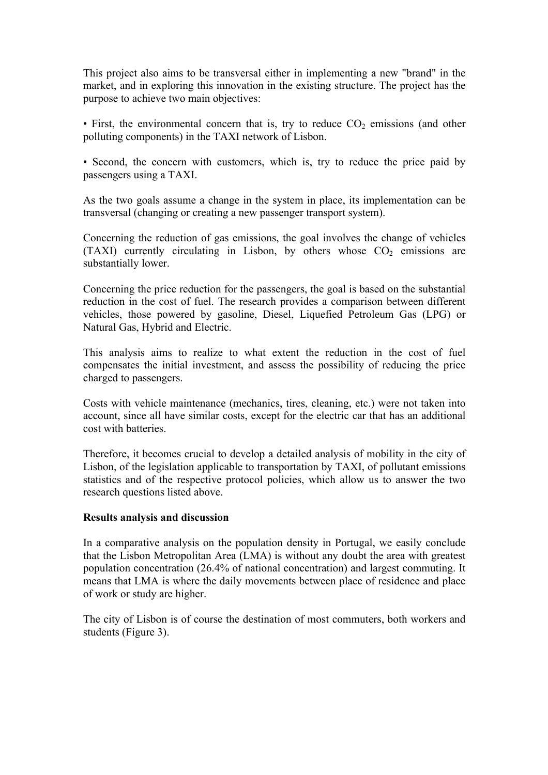This project also aims to be transversal either in implementing a new "brand" in the market, and in exploring this innovation in the existing structure. The project has the purpose to achieve two main objectives:

• First, the environmental concern that is, try to reduce  $CO<sub>2</sub>$  emissions (and other polluting components) in the TAXI network of Lisbon.

• Second, the concern with customers, which is, try to reduce the price paid by passengers using a TAXI.

As the two goals assume a change in the system in place, its implementation can be transversal (changing or creating a new passenger transport system).

Concerning the reduction of gas emissions, the goal involves the change of vehicles (TAXI) currently circulating in Lisbon, by others whose  $CO<sub>2</sub>$  emissions are substantially lower.

Concerning the price reduction for the passengers, the goal is based on the substantial reduction in the cost of fuel. The research provides a comparison between different vehicles, those powered by gasoline, Diesel, Liquefied Petroleum Gas (LPG) or Natural Gas, Hybrid and Electric.

This analysis aims to realize to what extent the reduction in the cost of fuel compensates the initial investment, and assess the possibility of reducing the price charged to passengers.

Costs with vehicle maintenance (mechanics, tires, cleaning, etc.) were not taken into account, since all have similar costs, except for the electric car that has an additional cost with batteries.

Therefore, it becomes crucial to develop a detailed analysis of mobility in the city of Lisbon, of the legislation applicable to transportation by TAXI, of pollutant emissions statistics and of the respective protocol policies, which allow us to answer the two research questions listed above.

#### **Results analysis and discussion**

In a comparative analysis on the population density in Portugal, we easily conclude that the Lisbon Metropolitan Area (LMA) is without any doubt the area with greatest population concentration (26.4% of national concentration) and largest commuting. It means that LMA is where the daily movements between place of residence and place of work or study are higher.

The city of Lisbon is of course the destination of most commuters, both workers and students (Figure 3).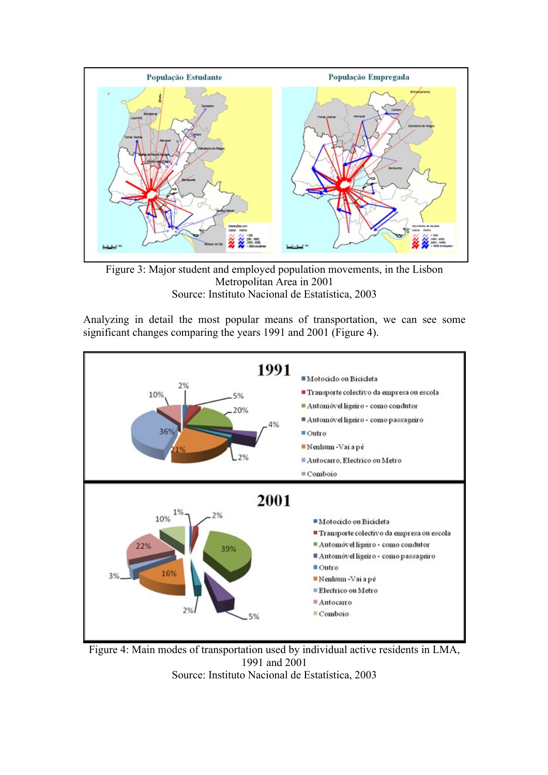

Figure 3: Major student and employed population movements, in the Lisbon Metropolitan Area in 2001 Source: Instituto Nacional de Estatística, 2003

Analyzing in detail the most popular means of transportation, we can see some significant changes comparing the years 1991 and 2001 (Figure 4).



Figure 4: Main modes of transportation used by individual active residents in LMA, 1991 and 2001 Source: Instituto Nacional de Estatística, 2003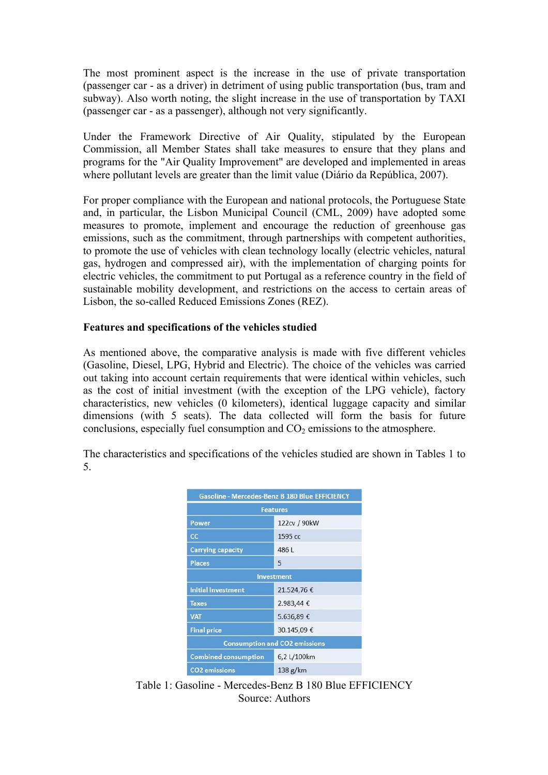The most prominent aspect is the increase in the use of private transportation (passenger car - as a driver) in detriment of using public transportation (bus, tram and subway). Also worth noting, the slight increase in the use of transportation by TAXI (passenger car - as a passenger), although not very significantly.

Under the Framework Directive of Air Quality, stipulated by the European Commission, all Member States shall take measures to ensure that they plans and programs for the "Air Quality Improvement" are developed and implemented in areas where pollutant levels are greater than the limit value (Diário da República, 2007).

For proper compliance with the European and national protocols, the Portuguese State and, in particular, the Lisbon Municipal Council (CML, 2009) have adopted some measures to promote, implement and encourage the reduction of greenhouse gas emissions, such as the commitment, through partnerships with competent authorities, to promote the use of vehicles with clean technology locally (electric vehicles, natural gas, hydrogen and compressed air), with the implementation of charging points for electric vehicles, the commitment to put Portugal as a reference country in the field of sustainable mobility development, and restrictions on the access to certain areas of Lisbon, the so-called Reduced Emissions Zones (REZ).

## **Features and specifications of the vehicles studied**

As mentioned above, the comparative analysis is made with five different vehicles (Gasoline, Diesel, LPG, Hybrid and Electric). The choice of the vehicles was carried out taking into account certain requirements that were identical within vehicles, such as the cost of initial investment (with the exception of the LPG vehicle), factory characteristics, new vehicles (0 kilometers), identical luggage capacity and similar dimensions (with 5 seats). The data collected will form the basis for future conclusions, especially fuel consumption and  $CO<sub>2</sub>$  emissions to the atmosphere.

The characteristics and specifications of the vehicles studied are shown in Tables 1 to 5.

| <b>Gasoline - Mercedes-Benz B 180 Blue EFFICIENCY</b> |             |  |  |
|-------------------------------------------------------|-------------|--|--|
| <b>Features</b>                                       |             |  |  |
| 122cv / 90kW<br>Power                                 |             |  |  |
| cc                                                    | 1595 cc     |  |  |
| 486L<br><b>Carrying capacity</b>                      |             |  |  |
| <b>Places</b>                                         | 5           |  |  |
| <b>Investment</b>                                     |             |  |  |
| <b>Initial investment</b>                             | 21.524,76 € |  |  |
| <b>Taxes</b>                                          | 2.983,44 €  |  |  |
| <b>VAT</b><br>5.636,89€                               |             |  |  |
| <b>Final price</b>                                    | 30.145,09€  |  |  |
| <b>Consumption and CO2 emissions</b>                  |             |  |  |
| <b>Combined consumption</b>                           | 6,2 L/100km |  |  |
| <b>CO2</b> emissions                                  | 138 g/km    |  |  |

Table 1: Gasoline - Mercedes-Benz B 180 Blue EFFICIENCY Source: Authors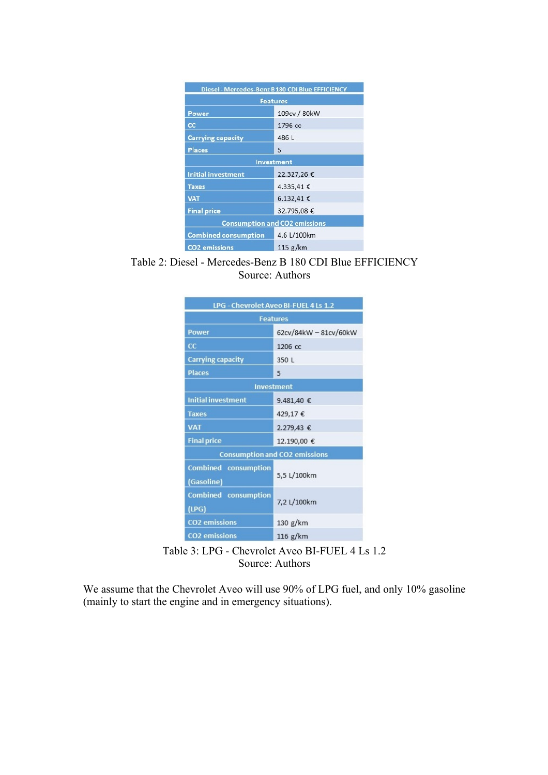| Diesel - Mercedes-Benz B 180 CDI Blue EFFICIENCY |                 |  |  |
|--------------------------------------------------|-----------------|--|--|
|                                                  | <b>Features</b> |  |  |
| Power                                            | 109cv / 80kW    |  |  |
| cc                                               | 1796 cc         |  |  |
| <b>Carrying capacity</b>                         | 486 L           |  |  |
| <b>Places</b>                                    | 5               |  |  |
| Investment                                       |                 |  |  |
| Initial investment                               | 22.327,26€      |  |  |
| <b>Taxes</b>                                     | 4.335,41 €      |  |  |
| <b>VAT</b>                                       | $6.132.41 \in$  |  |  |
| <b>Final price</b>                               | 32.795,08€      |  |  |
| <b>Consumption and CO2 emissions</b>             |                 |  |  |
| <b>Combined consumption</b>                      | 4,6 L/100km     |  |  |
| <b>CO2</b> emissions                             | 115 g/km        |  |  |

Table 2: Diesel - Mercedes-Benz B 180 CDI Blue EFFICIENCY Source: Authors

| LPG - Chevrolet Aveo BI-FUEL 4 Ls 1.2     |                                      |  |  |  |  |
|-------------------------------------------|--------------------------------------|--|--|--|--|
|                                           | <b>Features</b>                      |  |  |  |  |
| <b>Power</b>                              | 62cv/84kW - 81cv/60kW                |  |  |  |  |
| cc                                        | 1206 cc                              |  |  |  |  |
| <b>Carrying capacity</b>                  | 350 L                                |  |  |  |  |
| <b>Places</b>                             | 5                                    |  |  |  |  |
|                                           | <b>Investment</b>                    |  |  |  |  |
| <b>Initial investment</b>                 | 9.481,40 €                           |  |  |  |  |
| <b>Taxes</b>                              | 429,17€                              |  |  |  |  |
| <b>VAT</b>                                | 2.279,43 €                           |  |  |  |  |
| <b>Final price</b>                        | 12.190,00 €                          |  |  |  |  |
|                                           | <b>Consumption and CO2 emissions</b> |  |  |  |  |
| <b>Combined consumption</b><br>(Gasoline) | 5,5 L/100km                          |  |  |  |  |
| <b>Combined</b> consumption<br>(LPG)      | 7,2 L/100km                          |  |  |  |  |
| <b>CO2</b> emissions                      | 130 g/km                             |  |  |  |  |
| <b>CO2</b> emissions                      | 116 g/km                             |  |  |  |  |

Table 3: LPG - Chevrolet Aveo BI-FUEL 4 Ls 1.2 Source: Authors

We assume that the Chevrolet Aveo will use 90% of LPG fuel, and only 10% gasoline (mainly to start the engine and in emergency situations).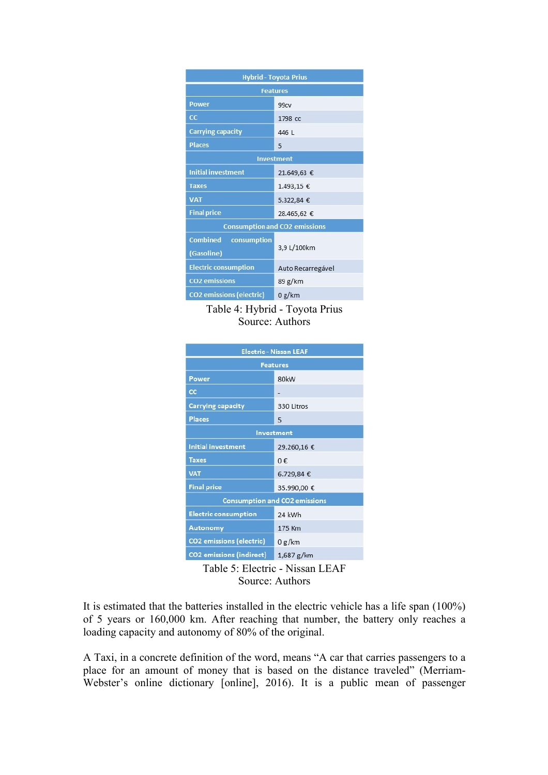| <b>Hybrid - Toyota Prius</b>                 |                                      |  |  |
|----------------------------------------------|--------------------------------------|--|--|
| <b>Features</b>                              |                                      |  |  |
| <b>Power</b>                                 | 99 <sub>cv</sub>                     |  |  |
| cc                                           | 1798 cc                              |  |  |
| <b>Carrying capacity</b>                     | 446 L                                |  |  |
| <b>Places</b>                                | 5                                    |  |  |
| <b>Investment</b>                            |                                      |  |  |
| <b>Initial investment</b>                    | 21.649,63 €                          |  |  |
| <b>Taxes</b>                                 | 1.493,15 €                           |  |  |
| <b>VAT</b>                                   | 5.322,84 €                           |  |  |
| <b>Final price</b>                           | 28.465,62 €                          |  |  |
|                                              | <b>Consumption and CO2 emissions</b> |  |  |
| <b>Combined</b><br>consumption<br>(Gasoline) | 3,9 L/100km                          |  |  |
| <b>Electric consumption</b>                  | Auto Recarregável                    |  |  |
| <b>CO2</b> emissions                         | 89 g/km                              |  |  |
| <b>CO2</b> emissions (electric)              | 0 g/km                               |  |  |

Table 4: Hybrid - Toyota Prius Source: Authors

| <b>Electric - Nissan LEAF</b>   |                                      |  |  |
|---------------------------------|--------------------------------------|--|--|
| <b>Features</b>                 |                                      |  |  |
| Power                           | 80kW                                 |  |  |
| <b>CC</b>                       |                                      |  |  |
| <b>Carrying capacity</b>        | 330 Litros                           |  |  |
| <b>Places</b>                   | 5                                    |  |  |
| Investment                      |                                      |  |  |
| <b>Initial investment</b>       | 29.260,16€                           |  |  |
| <b>Taxes</b>                    | $0 \notin$                           |  |  |
| <b>VAT</b>                      | 6.729,84€                            |  |  |
| <b>Final price</b>              | 35.990,00 €                          |  |  |
|                                 | <b>Consumption and CO2 emissions</b> |  |  |
| <b>Electric consumption</b>     | 24 kWh                               |  |  |
| Autonomy                        | 175 Km                               |  |  |
| <b>CO2</b> emissions (electric) | 0 g/km                               |  |  |
| <b>CO2</b> emissions (indirect) | $1,687$ g/km                         |  |  |

Table 5: Electric - Nissan LEAF Source: Authors

It is estimated that the batteries installed in the electric vehicle has a life span (100%) of 5 years or 160,000 km. After reaching that number, the battery only reaches a loading capacity and autonomy of 80% of the original.

A Taxi, in a concrete definition of the word, means "A car that carries passengers to a place for an amount of money that is based on the distance traveled" (Merriam-Webster's online dictionary [online], 2016). It is a public mean of passenger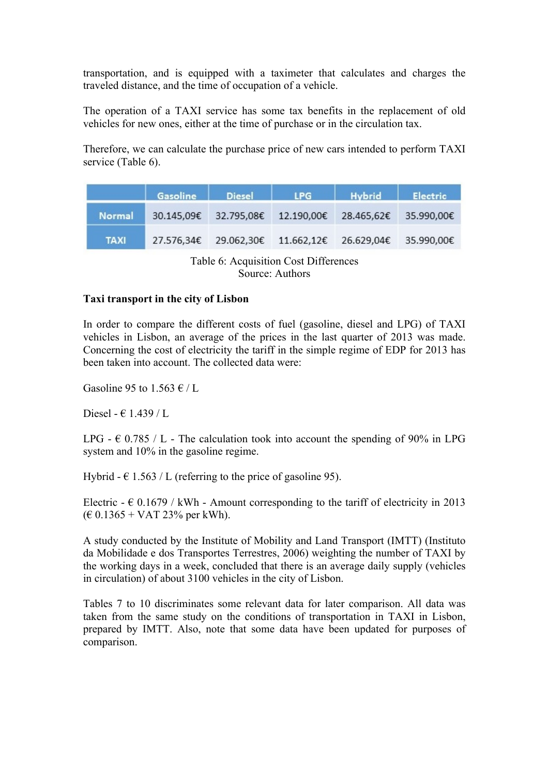transportation, and is equipped with a taximeter that calculates and charges the traveled distance, and the time of occupation of a vehicle.

The operation of a TAXI service has some tax benefits in the replacement of old vehicles for new ones, either at the time of purchase or in the circulation tax.

Therefore, we can calculate the purchase price of new cars intended to perform TAXI service (Table 6).

|               | Gasoline   | Diesel                | <b>LPG</b>                       | Hybrid                | <b>Electric</b> |
|---------------|------------|-----------------------|----------------------------------|-----------------------|-----------------|
| <b>Normal</b> | 30.145.09€ | 32.795,08€ 12.190,00€ |                                  | 28.465,62€ 35.990,00€ |                 |
| <b>TAXI</b>   | 27.576,34€ |                       | 29.062,30€ 11.662,12€ 26.629,04€ |                       | 35.990,00€      |

# Table 6: Acquisition Cost Differences Source: Authors

## **Taxi transport in the city of Lisbon**

In order to compare the different costs of fuel (gasoline, diesel and LPG) of TAXI vehicles in Lisbon, an average of the prices in the last quarter of 2013 was made. Concerning the cost of electricity the tariff in the simple regime of EDP for 2013 has been taken into account. The collected data were:

Gasoline 95 to 1.563  $\epsilon$  / L

Diesel -  $\in$  1.439 / L

LPG -  $\epsilon$  0.785 / L - The calculation took into account the spending of 90% in LPG system and 10% in the gasoline regime.

Hybrid -  $\epsilon$  1.563 / L (referring to the price of gasoline 95).

Electric  $- \epsilon$  0.1679 / kWh - Amount corresponding to the tariff of electricity in 2013  $(E 0.1365 + VAT 23\%$  per kWh).

A study conducted by the Institute of Mobility and Land Transport (IMTT) (Instituto da Mobilidade e dos Transportes Terrestres, 2006) weighting the number of TAXI by the working days in a week, concluded that there is an average daily supply (vehicles in circulation) of about 3100 vehicles in the city of Lisbon.

Tables 7 to 10 discriminates some relevant data for later comparison. All data was taken from the same study on the conditions of transportation in TAXI in Lisbon, prepared by IMTT. Also, note that some data have been updated for purposes of comparison.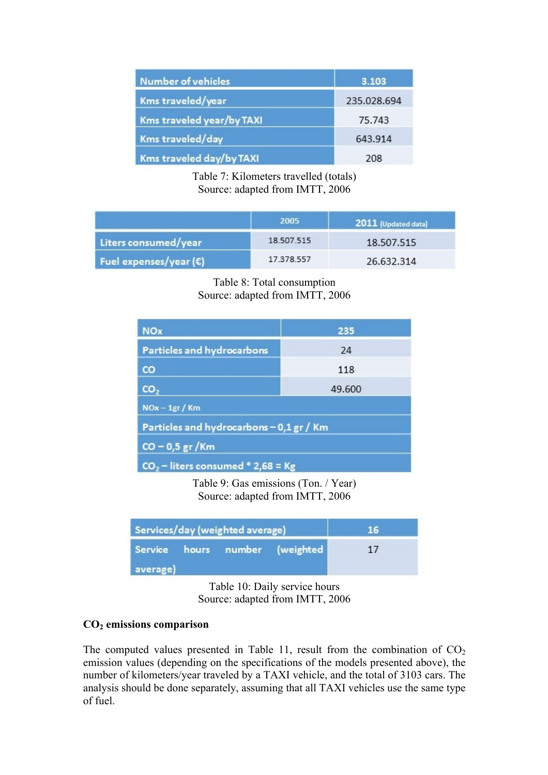| <b>Number of vehicles</b> | 3.103       |
|---------------------------|-------------|
| Kms traveled/year         | 235.028.694 |
| Kms traveled year/by TAXI | 75.743      |
| Kms traveled/day          | 643.914     |
| Kms traveled day/by TAXI  | 208         |

Table 7: Kilometers travelled (totals) Source: adapted from IMTT, 2006

|                                 | 2005       | 2011 (Updated data) |
|---------------------------------|------------|---------------------|
| Liters consumed/year            | 18.507.515 | 18.507.515          |
| Fuel expenses/year $(\epsilon)$ | 17.378.557 | 26.632.314          |

# Table 8: Total consumption Source: adapted from IMTT, 2006

| <b>NOx</b>                               | 235    |  |  |  |
|------------------------------------------|--------|--|--|--|
| Particles and hydrocarbons               | 24     |  |  |  |
| $\mathbf{c}\mathbf{o}$                   | 118    |  |  |  |
| CO <sub>2</sub>                          | 49.600 |  |  |  |
| $NOx - 1gr / Km$                         |        |  |  |  |
| Particles and hydrocarbons - 0,1 gr / Km |        |  |  |  |
| $CO - 0.5 gr/Km$                         |        |  |  |  |
| $CO2$ – liters consumed * 2,68 = Kg      |        |  |  |  |

Table 9: Gas emissions (Ton. / Year) Source: adapted from IMTT, 2006

| Services/day (weighted average) |                                |  | 467 |  |
|---------------------------------|--------------------------------|--|-----|--|
|                                 | Service hours number (weighted |  | 17  |  |
| average)                        |                                |  |     |  |

Table 10: Daily service hours Source: adapted from IMTT, 2006

## **CO2 emissions comparison**

The computed values presented in Table 11, result from the combination of  $CO<sub>2</sub>$ emission values (depending on the specifications of the models presented above), the number of kilometers/year traveled by a TAXI vehicle, and the total of 3103 cars. The analysis should be done separately, assuming that all TAXI vehicles use the same type of fuel.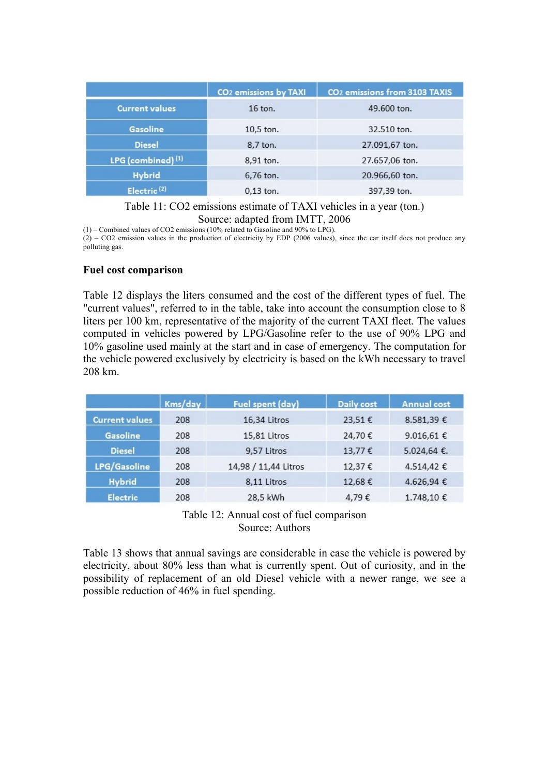|                         | CO <sub>2</sub> emissions by TAXI | CO <sub>2</sub> emissions from 3103 TAXIS |
|-------------------------|-----------------------------------|-------------------------------------------|
| <b>Current values</b>   | $16$ ton.                         | 49,600 ton.                               |
| Gasoline                | $10,5$ ton.                       | 32.510 ton.                               |
| <b>Diesel</b>           | 8,7 ton.                          | 27.091,67 ton.                            |
| LPG (combined) (1)      | 8,91 ton.                         | 27.657,06 ton.                            |
| <b>Hybrid</b>           | 6,76 ton.                         | 20.966,60 ton.                            |
| Electric <sup>(2)</sup> | $0.13$ ton.                       | 397,39 ton.                               |

Table 11: CO2 emissions estimate of TAXI vehicles in a year (ton.) Source: adapted from IMTT, 2006

(1) – Combined values of CO2 emissions (10% related to Gasoline and 90% to LPG).

 $(2)$  – CO2 emission values in the production of electricity by EDP (2006 values), since the car itself does not produce any polluting gas.

#### **Fuel cost comparison**

Table 12 displays the liters consumed and the cost of the different types of fuel. The "current values", referred to in the table, take into account the consumption close to 8 liters per 100 km, representative of the majority of the current TAXI fleet. The values computed in vehicles powered by LPG/Gasoline refer to the use of 90% LPG and 10% gasoline used mainly at the start and in case of emergency. The computation for the vehicle powered exclusively by electricity is based on the kWh necessary to travel 208 km.

|                       | Kms/day | Fuel spent (day)     | <b>Daily cost</b> | <b>Annual cost</b> |
|-----------------------|---------|----------------------|-------------------|--------------------|
| <b>Current values</b> | 208     | 16,34 Litros         | 23.51€            | 8.581,39€          |
| Gasoline              | 208     | 15,81 Litros         | 24,70€            | 9.016,61 €         |
| <b>Diesel</b>         | 208     | 9.57 Litros          | 13,77€            | 5.024,64 €.        |
| LPG/Gasoline          | 208     | 14,98 / 11,44 Litros | 12,37€            | 4.514,42 €         |
| <b>Hybrid</b>         | 208     | 8,11 Litros          | 12,68€            | 4.626,94 €         |
| <b>Electric</b>       | 208     | 28,5 kWh             | 4,79€             | 1.748,10€          |

Table 12: Annual cost of fuel comparison Source: Authors

Table 13 shows that annual savings are considerable in case the vehicle is powered by electricity, about 80% less than what is currently spent. Out of curiosity, and in the possibility of replacement of an old Diesel vehicle with a newer range, we see a possible reduction of 46% in fuel spending.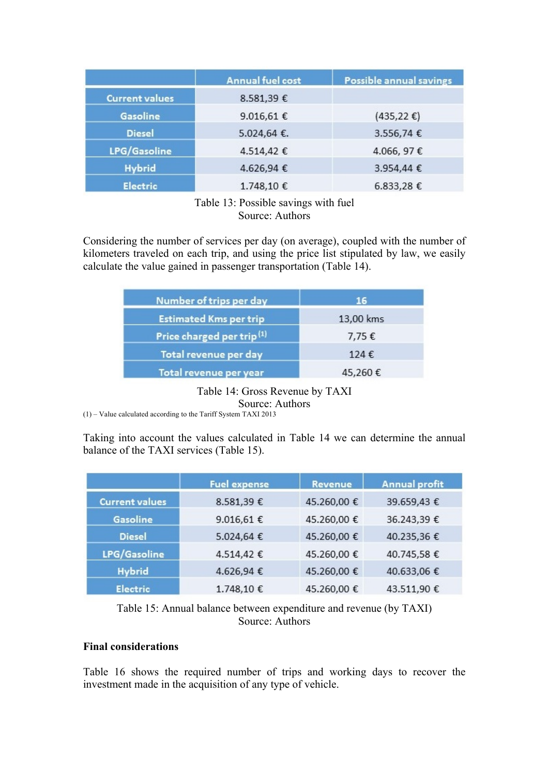|                       | <b>Annual fuel cost</b> | Possible annual savings |
|-----------------------|-------------------------|-------------------------|
| <b>Current values</b> | 8.581,39€               |                         |
| Gasoline              | 9.016,61€               | $(435,22 \epsilon)$     |
| <b>Diesel</b>         | 5.024,64 €.             | 3.556,74€               |
| LPG/Gasoline          | 4.514,42€               | 4.066, 97€              |
| <b>Hybrid</b>         | 4.626,94€               | 3.954,44 €              |
| <b>Electric</b>       | 1.748,10€               | 6.833,28€               |

Table 13: Possible savings with fuel Source: Authors

Considering the number of services per day (on average), coupled with the number of kilometers traveled on each trip, and using the price list stipulated by law, we easily calculate the value gained in passenger transportation (Table 14).

| Number of trips per day               | 16        |
|---------------------------------------|-----------|
| <b>Estimated Kms per trip</b>         | 13,00 kms |
| Price charged per trip <sup>(1)</sup> | 7,75€     |
| Total revenue per day                 | 124€      |
| Total revenue per year                | 45,260€   |

Table 14: Gross Revenue by TAXI Source: Authors (1) – Value calculated according to the Tariff System TAXI 2013

Taking into account the values calculated in Table 14 we can determine the annual balance of the TAXI services (Table 15).

|                       | <b>Fuel expense</b> | Revenue     | <b>Annual profit</b> |
|-----------------------|---------------------|-------------|----------------------|
| <b>Current values</b> | 8.581,39€           | 45.260,00 € | 39.659,43 €          |
| <b>Gasoline</b>       | 9.016,61€           | 45.260,00 € | 36.243,39 €          |
| <b>Diesel</b>         | 5.024,64 €          | 45.260,00 € | 40.235,36€           |
| LPG/Gasoline          | 4.514,42 €          | 45.260,00 € | 40.745,58€           |
| <b>Hybrid</b>         | 4.626,94 €          | 45.260,00 € | 40.633,06 €          |
| <b>Electric</b>       | 1.748,10€           | 45.260,00 € | 43.511,90 €          |

Table 15: Annual balance between expenditure and revenue (by TAXI) Source: Authors

# **Final considerations**

Table 16 shows the required number of trips and working days to recover the investment made in the acquisition of any type of vehicle.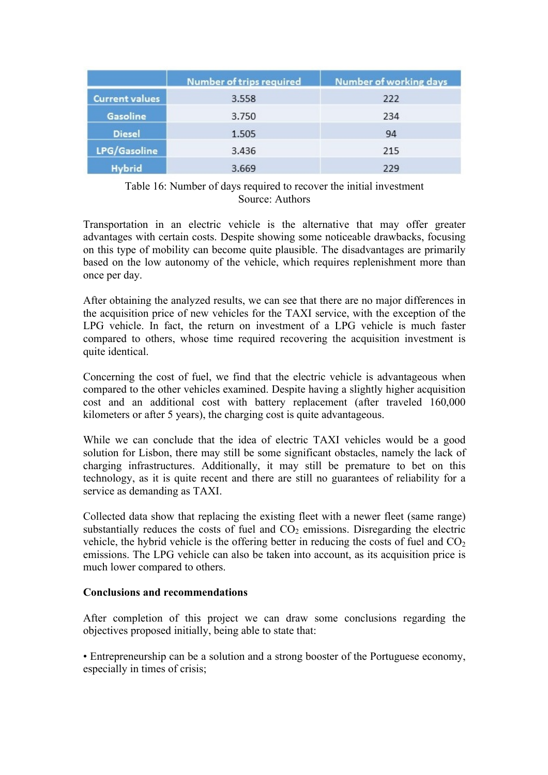|                       | Number of trips required | <b>Number of working days</b> |
|-----------------------|--------------------------|-------------------------------|
| <b>Current values</b> | 3.558                    | 222                           |
| Gasoline              | 3.750                    | 234                           |
| <b>Diesel</b>         | 1.505                    | 94                            |
| LPG/Gasoline          | 3.436                    | 215                           |
| <b>Hybrid</b>         | 3.669                    | 229                           |

## Table 16: Number of days required to recover the initial investment Source: Authors

Transportation in an electric vehicle is the alternative that may offer greater advantages with certain costs. Despite showing some noticeable drawbacks, focusing on this type of mobility can become quite plausible. The disadvantages are primarily based on the low autonomy of the vehicle, which requires replenishment more than once per day.

After obtaining the analyzed results, we can see that there are no major differences in the acquisition price of new vehicles for the TAXI service, with the exception of the LPG vehicle. In fact, the return on investment of a LPG vehicle is much faster compared to others, whose time required recovering the acquisition investment is quite identical.

Concerning the cost of fuel, we find that the electric vehicle is advantageous when compared to the other vehicles examined. Despite having a slightly higher acquisition cost and an additional cost with battery replacement (after traveled 160,000 kilometers or after 5 years), the charging cost is quite advantageous.

While we can conclude that the idea of electric TAXI vehicles would be a good solution for Lisbon, there may still be some significant obstacles, namely the lack of charging infrastructures. Additionally, it may still be premature to bet on this technology, as it is quite recent and there are still no guarantees of reliability for a service as demanding as TAXI.

Collected data show that replacing the existing fleet with a newer fleet (same range) substantially reduces the costs of fuel and  $CO<sub>2</sub>$  emissions. Disregarding the electric vehicle, the hybrid vehicle is the offering better in reducing the costs of fuel and  $CO<sub>2</sub>$ emissions. The LPG vehicle can also be taken into account, as its acquisition price is much lower compared to others.

#### **Conclusions and recommendations**

After completion of this project we can draw some conclusions regarding the objectives proposed initially, being able to state that:

• Entrepreneurship can be a solution and a strong booster of the Portuguese economy, especially in times of crisis;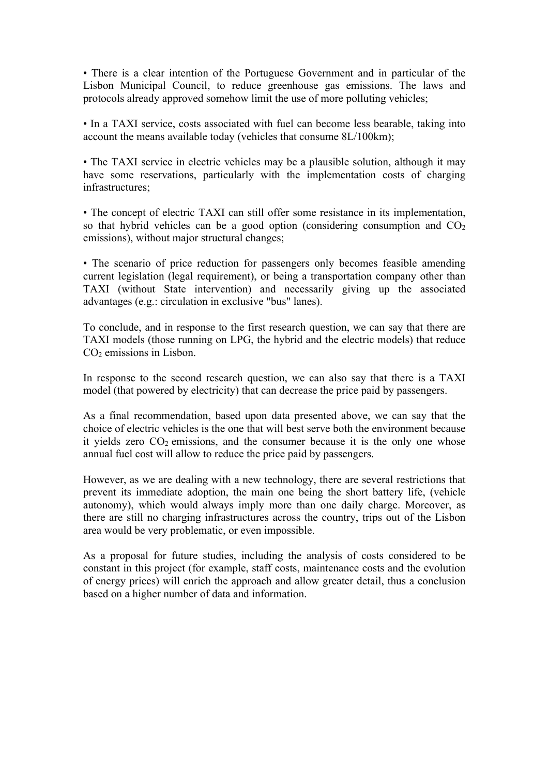• There is a clear intention of the Portuguese Government and in particular of the Lisbon Municipal Council, to reduce greenhouse gas emissions. The laws and protocols already approved somehow limit the use of more polluting vehicles;

• In a TAXI service, costs associated with fuel can become less bearable, taking into account the means available today (vehicles that consume 8L/100km);

• The TAXI service in electric vehicles may be a plausible solution, although it may have some reservations, particularly with the implementation costs of charging infrastructures;

• The concept of electric TAXI can still offer some resistance in its implementation, so that hybrid vehicles can be a good option (considering consumption and  $CO<sub>2</sub>$ ) emissions), without major structural changes;

• The scenario of price reduction for passengers only becomes feasible amending current legislation (legal requirement), or being a transportation company other than TAXI (without State intervention) and necessarily giving up the associated advantages (e.g.: circulation in exclusive "bus" lanes).

To conclude, and in response to the first research question, we can say that there are TAXI models (those running on LPG, the hybrid and the electric models) that reduce CO2 emissions in Lisbon.

In response to the second research question, we can also say that there is a TAXI model (that powered by electricity) that can decrease the price paid by passengers.

As a final recommendation, based upon data presented above, we can say that the choice of electric vehicles is the one that will best serve both the environment because it yields zero  $CO<sub>2</sub>$  emissions, and the consumer because it is the only one whose annual fuel cost will allow to reduce the price paid by passengers.

However, as we are dealing with a new technology, there are several restrictions that prevent its immediate adoption, the main one being the short battery life, (vehicle autonomy), which would always imply more than one daily charge. Moreover, as there are still no charging infrastructures across the country, trips out of the Lisbon area would be very problematic, or even impossible.

As a proposal for future studies, including the analysis of costs considered to be constant in this project (for example, staff costs, maintenance costs and the evolution of energy prices) will enrich the approach and allow greater detail, thus a conclusion based on a higher number of data and information.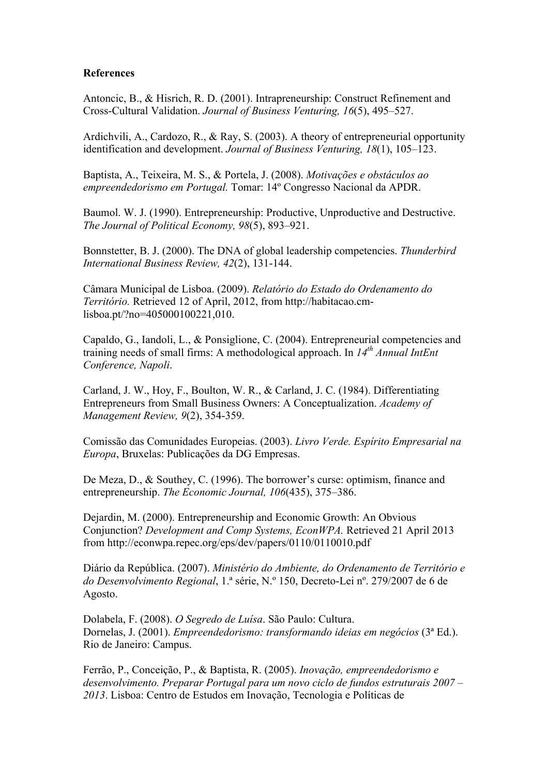#### **References**

Antoncic, B., & Hisrich, R. D. (2001). Intrapreneurship: Construct Refinement and Cross-Cultural Validation. *Journal of Business Venturing, 16*(5), 495–527.

Ardichvili, A., Cardozo, R., & Ray, S. (2003). A theory of entrepreneurial opportunity identification and development. *Journal of Business Venturing, 18*(1), 105–123.

Baptista, A., Teixeira, M. S., & Portela, J. (2008). *Motivações e obstáculos ao empreendedorismo em Portugal.* Tomar: 14º Congresso Nacional da APDR.

Baumol. W. J. (1990). Entrepreneurship: Productive, Unproductive and Destructive. *The Journal of Political Economy, 98*(5), 893–921.

Bonnstetter, B. J. (2000). The DNA of global leadership competencies. *Thunderbird International Business Review, 42*(2), 131-144.

Câmara Municipal de Lisboa. (2009). *Relatório do Estado do Ordenamento do Território.* Retrieved 12 of April, 2012, from http://habitacao.cmlisboa.pt/?no=405000100221,010.

Capaldo, G., Iandoli, L., & Ponsiglione, C. (2004). Entrepreneurial competencies and training needs of small firms: A methodological approach. In *14th Annual IntEnt Conference, Napoli*.

Carland, J. W., Hoy, F., Boulton, W. R., & Carland, J. C. (1984). Differentiating Entrepreneurs from Small Business Owners: A Conceptualization. *Academy of Management Review, 9*(2), 354-359.

Comissão das Comunidades Europeias. (2003). *Livro Verde. Espírito Empresarial na Europa*, Bruxelas: Publicações da DG Empresas.

De Meza, D., & Southey, C. (1996). The borrower's curse: optimism, finance and entrepreneurship. *The Economic Journal, 106*(435), 375–386.

Dejardin, M. (2000). Entrepreneurship and Economic Growth: An Obvious Conjunction? *Development and Comp Systems, EconWPA.* Retrieved 21 April 2013 from http://econwpa.repec.org/eps/dev/papers/0110/0110010.pdf

Diário da República. (2007). *Ministério do Ambiente, do Ordenamento de Território e do Desenvolvimento Regional*, 1.ª série, N.º 150, Decreto-Lei nº. 279/2007 de 6 de Agosto.

Dolabela, F. (2008). *O Segredo de Luísa*. São Paulo: Cultura. Dornelas, J. (2001). *Empreendedorismo: transformando ideias em negócios* (3ª Ed.). Rio de Janeiro: Campus.

Ferrão, P., Conceição, P., & Baptista, R. (2005). *Inovação, empreendedorismo e desenvolvimento. Preparar Portugal para um novo ciclo de fundos estruturais 2007* – *2013*. Lisboa: Centro de Estudos em Inovação, Tecnologia e Políticas de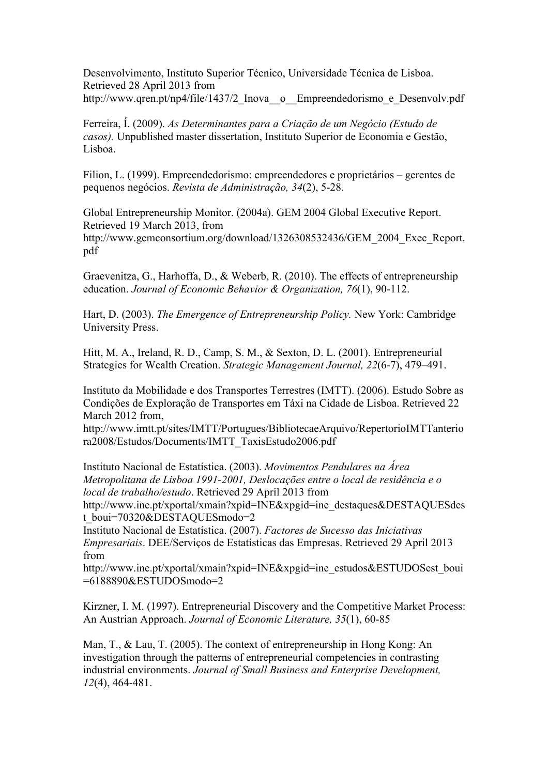Desenvolvimento, Instituto Superior Técnico, Universidade Técnica de Lisboa. Retrieved 28 April 2013 from http://www.qren.pt/np4/file/1437/2 Inova\_o\_Empreendedorismo\_e\_Desenvolv.pdf

Ferreira, Í. (2009). *As Determinantes para a Criação de um Negócio (Estudo de casos).* Unpublished master dissertation, Instituto Superior de Economia e Gestão, Lisboa.

Filion, L. (1999). Empreendedorismo: empreendedores e proprietários – gerentes de pequenos negócios. *Revista de Administração, 34*(2), 5-28.

Global Entrepreneurship Monitor. (2004a). GEM 2004 Global Executive Report. Retrieved 19 March 2013, from http://www.gemconsortium.org/download/1326308532436/GEM\_2004\_Exec\_Report. pdf

Graevenitza, G., Harhoffa, D., & Weberb, R. (2010). The effects of entrepreneurship education. *Journal of Economic Behavior & Organization, 76*(1), 90-112.

Hart, D. (2003). *The Emergence of Entrepreneurship Policy.* New York: Cambridge University Press.

Hitt, M. A., Ireland, R. D., Camp, S. M., & Sexton, D. L. (2001). Entrepreneurial Strategies for Wealth Creation. *Strategic Management Journal, 22*(6-7), 479–491.

Instituto da Mobilidade e dos Transportes Terrestres (IMTT). (2006). Estudo Sobre as Condições de Exploração de Transportes em Táxi na Cidade de Lisboa. Retrieved 22 March 2012 from,

http://www.imtt.pt/sites/IMTT/Portugues/BibliotecaeArquivo/RepertorioIMTTanterio ra2008/Estudos/Documents/IMTT\_TaxisEstudo2006.pdf

Instituto Nacional de Estatística. (2003). *Movimentos Pendulares na Área Metropolitana de Lisboa 1991-2001, Deslocações entre o local de residência e o local de trabalho/estudo*. Retrieved 29 April 2013 from http://www.ine.pt/xportal/xmain?xpid=INE&xpgid=ine\_destaques&DESTAQUESdes

t\_boui=70320&DESTAQUESmodo=2

Instituto Nacional de Estatística. (2007). *Factores de Sucesso das Iniciativas Empresariais*. DEE/Serviços de Estatísticas das Empresas. Retrieved 29 April 2013 from

http://www.ine.pt/xportal/xmain?xpid=INE&xpgid=ine\_estudos&ESTUDOSest\_boui =6188890&ESTUDOSmodo=2

Kirzner, I. M. (1997). Entrepreneurial Discovery and the Competitive Market Process: An Austrian Approach. *Journal of Economic Literature, 35*(1), 60-85

Man, T., & Lau, T. (2005). The context of entrepreneurship in Hong Kong: An investigation through the patterns of entrepreneurial competencies in contrasting industrial environments. *Journal of Small Business and Enterprise Development, 12*(4), 464-481.